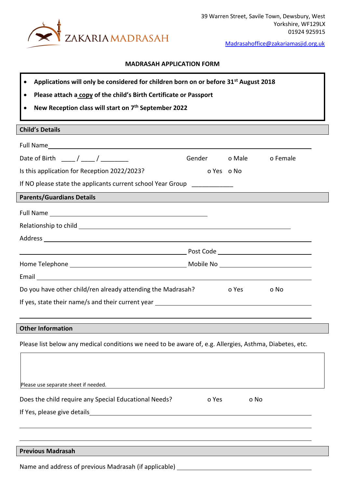

[Madrasahoffice@zakariamasjid.org.uk](mailto:Madrasahoffice@zakariamasjid.org.uk)

## **MADRASAH APPLICATION FORM**

- **Applications will only be considered for children born on or before 31st August 2018**
- **Please attach a copy of the child's Birth Certificate or Passport**
- **New Reception class will start on 7 th September 2022**

## **Child's Details**

| Date of Birth $\frac{1}{\sqrt{1-\frac{1}{2}}}$                                                                                                           | Gender o Male |                                                                                                                | o Female |
|----------------------------------------------------------------------------------------------------------------------------------------------------------|---------------|----------------------------------------------------------------------------------------------------------------|----------|
| Is this application for Reception 2022/2023?                                                                                                             |               | o Yes o No                                                                                                     |          |
| If NO please state the applicants current school Year Group ____________                                                                                 |               |                                                                                                                |          |
| <b>Parents/Guardians Details</b><br><u> 1980 - Jan Sterling von de Berling von de Berling von de Berling von de Berling von de Berling von de Berlin</u> |               |                                                                                                                |          |
|                                                                                                                                                          |               |                                                                                                                |          |
|                                                                                                                                                          |               |                                                                                                                |          |
|                                                                                                                                                          |               |                                                                                                                |          |
|                                                                                                                                                          |               |                                                                                                                |          |
|                                                                                                                                                          |               |                                                                                                                |          |
|                                                                                                                                                          |               |                                                                                                                |          |
| Do you have other child/ren already attending the Madrasah?                                                                                              |               | o Yes and the set of the set of the set of the set of the set of the set of the set of the set of the set of t | o No     |
|                                                                                                                                                          |               |                                                                                                                |          |
|                                                                                                                                                          |               |                                                                                                                |          |
| <b>Other Information</b>                                                                                                                                 |               |                                                                                                                |          |
| Please list below any medical conditions we need to be aware of, e.g. Allergies, Asthma, Diabetes, etc.                                                  |               |                                                                                                                |          |

Please use separate sheet if needed. Does the child require any Special Educational Needs? o Yes o No If Yes, please give details **Previous Madrasah** Name and address of previous Madrasah (if applicable)